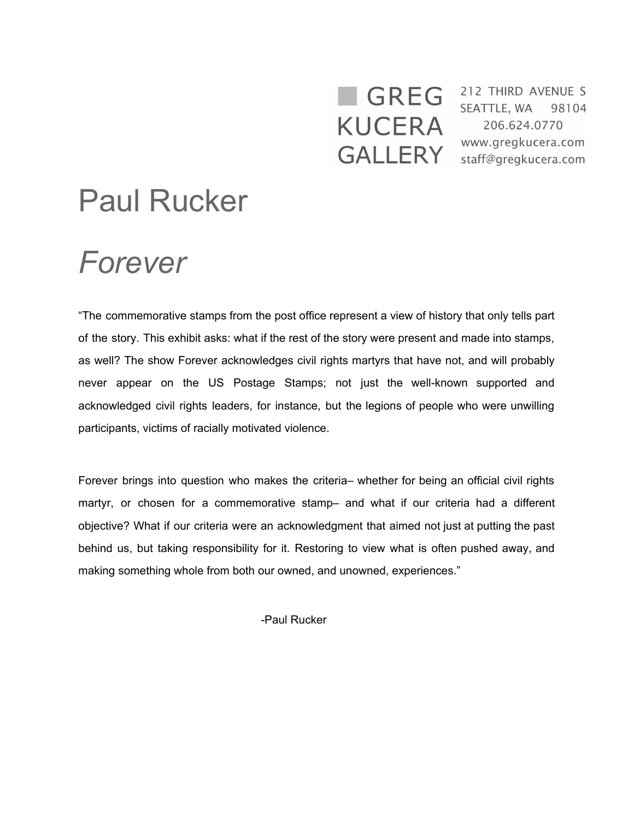## **KUCERA GALLERY**

**GREG** <sup>212 THIRD AVENUE S</sup> 206.624.0770 www.gregkucera.com staff@gregkucera.com

## Paul Rucker

## *Forever*

"The commemorative stamps from the post office represent a view of history that only tells part of the story. This exhibit asks: what if the rest of the story were present and made into stamps, as well? The show Forever acknowledges civil rights martyrs that have not, and will probably never appear on the US Postage Stamps; not just the well-known supported and acknowledged civil rights leaders, for instance, but the legions of people who were unwilling participants, victims of racially motivated violence.

Forever brings into question who makes the criteria– whether for being an official civil rights martyr, or chosen for a commemorative stamp– and what if our criteria had a different objective? What if our criteria were an acknowledgment that aimed not just at putting the past behind us, but taking responsibility for it. Restoring to view what is often pushed away, and making something whole from both our owned, and unowned, experiences."

-Paul Rucker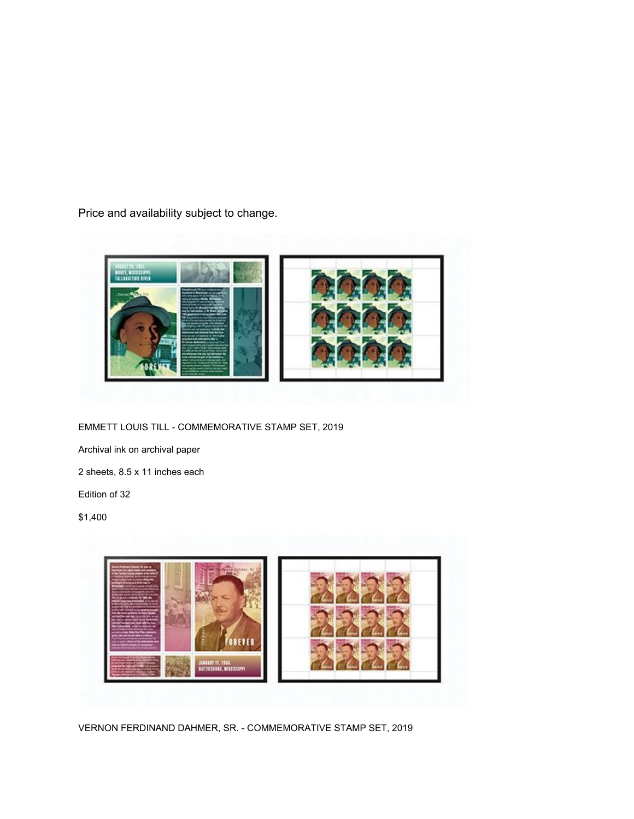Price and availability subject to change.



EMMETT LOUIS TILL - COMMEMORATIVE STAMP SET, 2019

Archival ink on archival paper

2 sheets, 8.5 x 11 inches each

Edition of 32

\$1,400



VERNON FERDINAND DAHMER, SR. - COMMEMORATIVE STAMP SET, 2019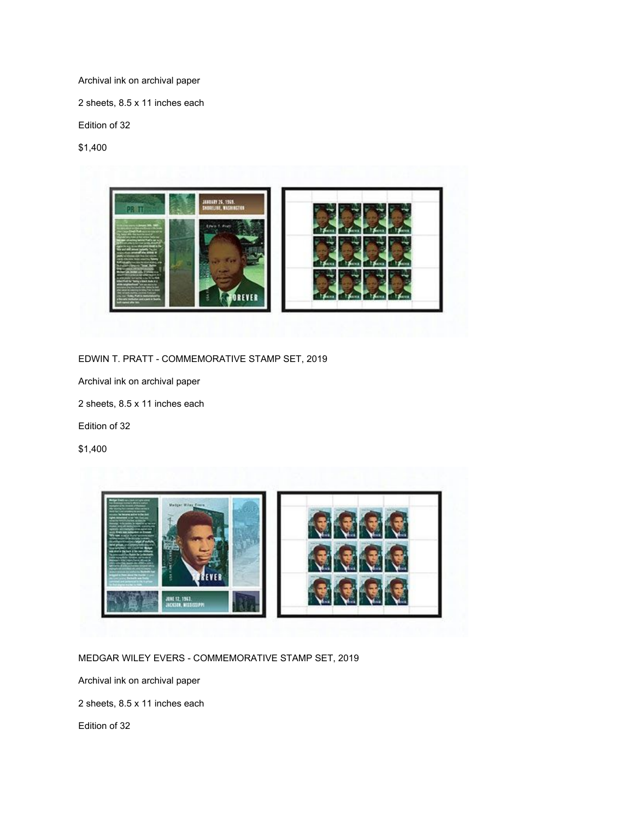Archival ink on archival paper

2 sheets, 8.5 x 11 inches each

Edition of 32

\$1,400



EDWIN T. PRATT - COMMEMORATIVE STAMP SET, 2019

Archival ink on archival paper

2 sheets, 8.5 x 11 inches each

Edition of 32

\$1,400



MEDGAR WILEY EVERS - COMMEMORATIVE STAMP SET, 2019

Archival ink on archival paper

2 sheets, 8.5 x 11 inches each

Edition of 32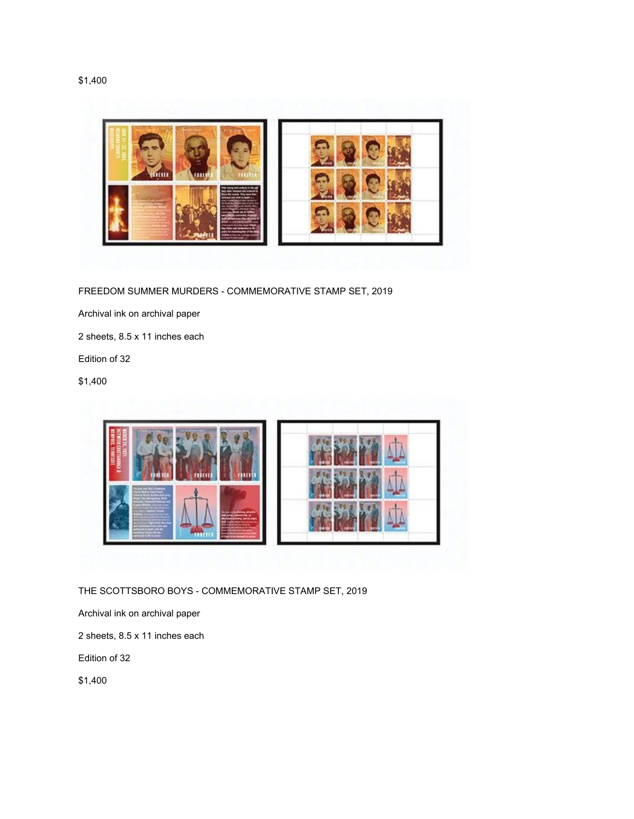



FREEDOM SUMMER MURDERS - COMMEMORATIVE STAMP SET, 2019

Archival ink on archival paper

2 sheets, 8.5 x 11 inches each

Edition of 32

\$1,400



THE SCOTTSBORO BOYS - COMMEMORATIVE STAMP SET, 2019

Archival ink on archival paper

2 sheets, 8.5 x 11 inches each

Edition of 32

\$1,400